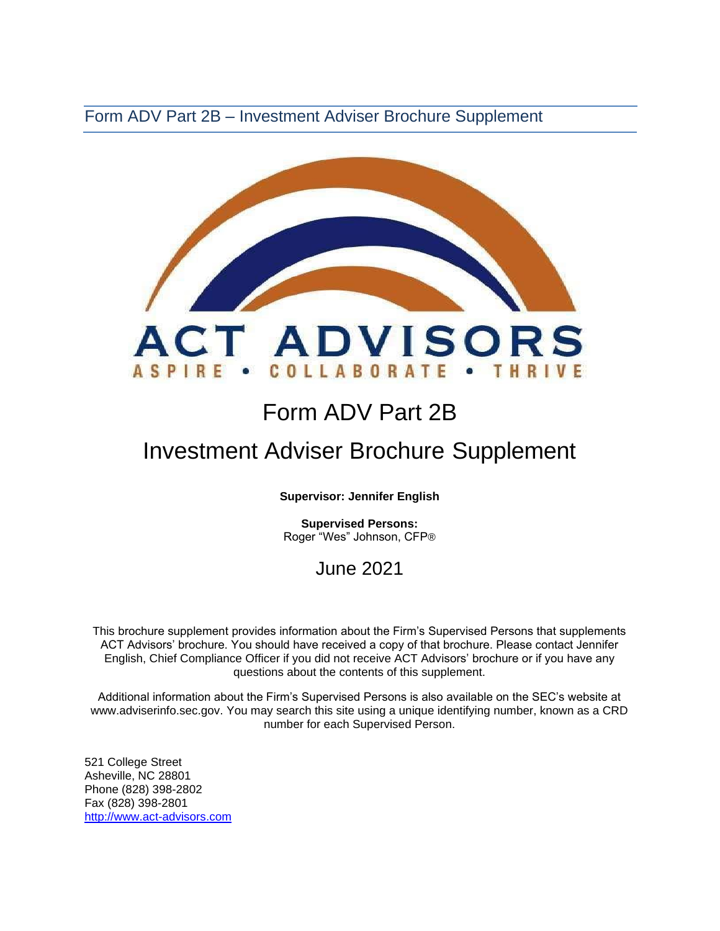Form ADV Part 2B – Investment Adviser Brochure Supplement



# Form ADV Part 2B

# Investment Adviser Brochure Supplement

**Supervisor: Jennifer English** 

**Supervised Persons:** Roger "Wes" Johnson, CFP®

# June 2021

This brochure supplement provides information about the Firm's Supervised Persons that supplements ACT Advisors' brochure. You should have received a copy of that brochure. Please contact Jennifer English, Chief Compliance Officer if you did not receive ACT Advisors' brochure or if you have any questions about the contents of this supplement.

Additional information about the Firm's Supervised Persons is also available on the SEC's website at [www.adviserinfo.sec.gov. Y](http://www.adviserinfo.sec.gov/)ou may search this site using a unique identifying number, known as a CRD number for each Supervised Person.

521 College Street Asheville, NC 28801 Phone (828) 398-2802 Fax (828) 398-2801 [http://www.act-advisors.com](http://www.act-advisors.com/)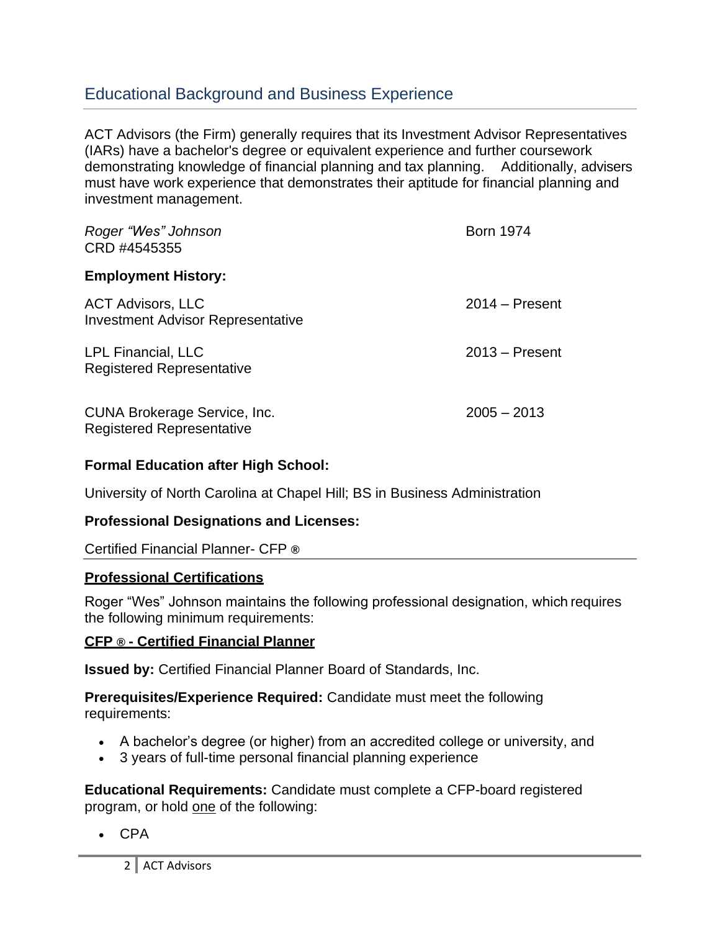### Educational Background and Business Experience

ACT Advisors (the Firm) generally requires that its Investment Advisor Representatives (IARs) have a bachelor's degree or equivalent experience and further coursework demonstrating knowledge of financial planning and tax planning. Additionally, advisers must have work experience that demonstrates their aptitude for financial planning and investment management.

| Roger "Wes" Johnson<br>CRD #4545355                                  | <b>Born 1974</b> |
|----------------------------------------------------------------------|------------------|
| <b>Employment History:</b>                                           |                  |
| <b>ACT Advisors, LLC</b><br><b>Investment Advisor Representative</b> | $2014 -$ Present |
| <b>LPL Financial, LLC</b><br><b>Registered Representative</b>        | $2013 -$ Present |
| CUNA Brokerage Service, Inc.<br><b>Registered Representative</b>     | $2005 - 2013$    |

#### **Formal Education after High School:**

University of North Carolina at Chapel Hill; BS in Business Administration

#### **Professional Designations and Licenses:**

#### Certified Financial Planner- CFP **®**

#### **Professional Certifications**

Roger "Wes" Johnson maintains the following professional designation, which requires the following minimum requirements:

#### **CFP ® - Certified Financial Planner**

**Issued by:** [Certified Financial Planner Board of Standards, Inc.](http://www.cfp.net/default.asp)

#### **Prerequisites/Experience Required:** Candidate must meet the following requirements:

- A bachelor's degree (or higher) from an accredited college or university, and
- 3 years of full-time personal financial planning experience

**Educational Requirements:** Candidate must complete a [CFP-board registered](http://www.cfp.net/become/programs.asp) [program,](http://www.cfp.net/become/programs.asp) or hold one of the following:

• CPA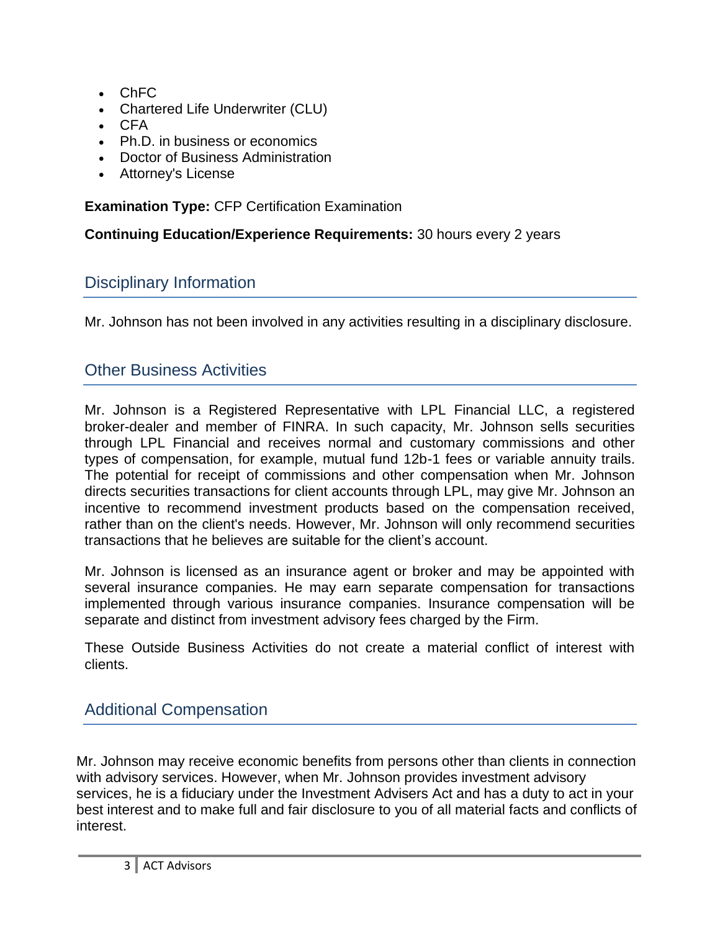- ChFC
- Chartered Life Underwriter (CLU)
- CFA
- Ph.D. in business or economics
- Doctor of Business Administration
- Attorney's License

**Examination Type:** CFP Certification Examination

**Continuing Education/Experience Requirements:** 30 hours every 2 years

# Disciplinary Information

Mr. Johnson has not been involved in any activities resulting in a disciplinary disclosure.

# Other Business Activities

Mr. Johnson is a Registered Representative with LPL Financial LLC, a registered broker-dealer and member of FINRA. In such capacity, Mr. Johnson sells securities through LPL Financial and receives normal and customary commissions and other types of compensation, for example, mutual fund 12b-1 fees or variable annuity trails. The potential for receipt of commissions and other compensation when Mr. Johnson directs securities transactions for client accounts through LPL, may give Mr. Johnson an incentive to recommend investment products based on the compensation received, rather than on the client's needs. However, Mr. Johnson will only recommend securities transactions that he believes are suitable for the client's account.

Mr. Johnson is licensed as an insurance agent or broker and may be appointed with several insurance companies. He may earn separate compensation for transactions implemented through various insurance companies. Insurance compensation will be separate and distinct from investment advisory fees charged by the Firm.

These Outside Business Activities do not create a material conflict of interest with clients.

# Additional Compensation

Mr. Johnson may receive economic benefits from persons other than clients in connection with advisory services. However, when Mr. Johnson provides investment advisory services, he is a fiduciary under the Investment Advisers Act and has a duty to act in your best interest and to make full and fair disclosure to you of all material facts and conflicts of interest.